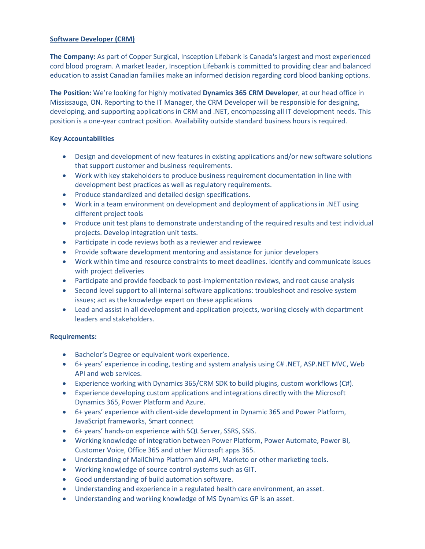## **Software Developer (CRM)**

**The Company:** As part of Copper Surgical, Insception Lifebank is Canada's largest and most experienced cord blood program. A market leader, Insception Lifebank is committed to providing clear and balanced education to assist Canadian families make an informed decision regarding cord blood banking options.

**The Position:** We're looking for highly motivated **Dynamics 365 CRM Developer**, at our head office in Mississauga, ON. Reporting to the IT Manager, the CRM Developer will be responsible for designing, developing, and supporting applications in CRM and .NET, encompassing all IT development needs. This position is a one-year contract position. Availability outside standard business hours is required.

## **Key Accountabilities**

- Design and development of new features in existing applications and/or new software solutions that support customer and business requirements.
- Work with key stakeholders to produce business requirement documentation in line with development best practices as well as regulatory requirements.
- Produce standardized and detailed design specifications.
- Work in a team environment on development and deployment of applications in .NET using different project tools
- Produce unit test plans to demonstrate understanding of the required results and test individual projects. Develop integration unit tests.
- Participate in code reviews both as a reviewer and reviewee
- Provide software development mentoring and assistance for junior developers
- Work within time and resource constraints to meet deadlines. Identify and communicate issues with project deliveries
- Participate and provide feedback to post-implementation reviews, and root cause analysis
- Second level support to all internal software applications: troubleshoot and resolve system issues; act as the knowledge expert on these applications
- Lead and assist in all development and application projects, working closely with department leaders and stakeholders.

## **Requirements:**

- Bachelor's Degree or equivalent work experience.
- 6+ years' experience in coding, testing and system analysis using C# .NET, ASP.NET MVC, Web API and web services.
- Experience working with Dynamics 365/CRM SDK to build plugins, custom workflows (C#).
- Experience developing custom applications and integrations directly with the Microsoft Dynamics 365, Power Platform and Azure.
- 6+ years' experience with client-side development in Dynamic 365 and Power Platform, JavaScript frameworks, Smart connect
- 6+ years' hands-on experience with SQL Server, SSRS, SSIS.
- Working knowledge of integration between Power Platform, Power Automate, Power BI, Customer Voice, Office 365 and other Microsoft apps 365.
- Understanding of MailChimp Platform and API, Marketo or other marketing tools.
- Working knowledge of source control systems such as GIT.
- Good understanding of build automation software.
- Understanding and experience in a regulated health care environment, an asset.
- Understanding and working knowledge of MS Dynamics GP is an asset.